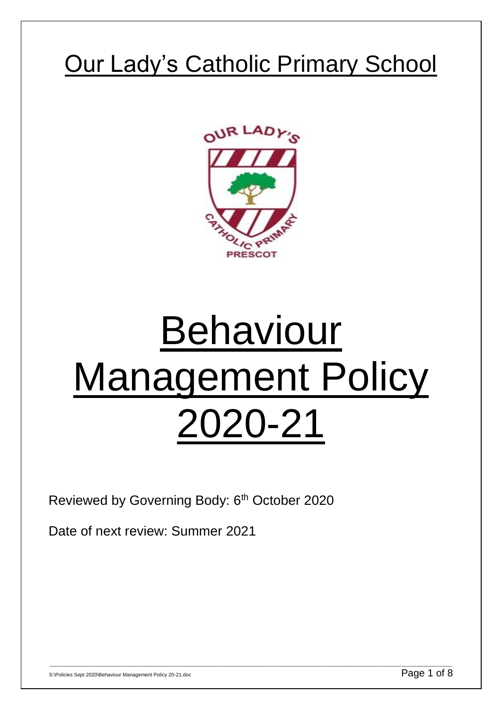## Our Lady's Catholic Primary School



# Behaviour Management Policy 2020-21

\_\_\_\_\_\_\_\_\_\_\_\_\_\_\_\_\_\_\_\_\_\_\_\_\_\_\_\_\_\_\_\_\_\_\_\_\_\_\_\_\_\_\_\_\_\_\_\_\_\_\_\_\_\_\_\_\_\_\_\_\_\_\_\_\_\_\_\_\_\_\_\_\_\_\_\_\_\_\_\_\_\_\_\_\_\_\_\_\_\_\_\_\_\_\_\_\_\_\_\_\_\_\_\_\_\_\_\_\_\_\_\_\_\_\_\_\_\_\_\_\_\_\_\_\_\_\_\_\_\_\_\_\_\_\_\_\_\_\_\_\_\_\_

Reviewed by Governing Body: 6<sup>th</sup> October 2020

Date of next review: Summer 2021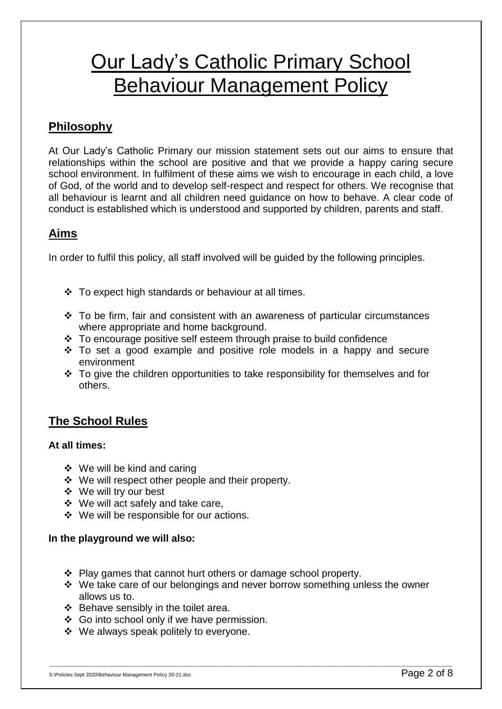### Our Lady's Catholic Primary School Behaviour Management Policy

#### **Philosophy**

At Our Lady's Catholic Primary our mission statement sets out our aims to ensure that relationships within the school are positive and that we provide a happy caring secure school environment. In fulfilment of these aims we wish to encourage in each child, a love of God, of the world and to develop self-respect and respect for others. We recognise that all behaviour is learnt and all children need guidance on how to behave. A clear code of conduct is established which is understood and supported by children, parents and staff.

#### **Aims**

In order to fulfil this policy, all staff involved will be guided by the following principles.

- To expect high standards or behaviour at all times.
- $\cdot$  To be firm, fair and consistent with an awareness of particular circumstances where appropriate and home background.
- $\div$  To encourage positive self esteem through praise to build confidence
- $\cdot \cdot$  To set a good example and positive role models in a happy and secure environment
- \* To give the children opportunities to take responsibility for themselves and for others.

#### **The School Rules**

#### **At all times:**

- ❖ We will be kind and caring
- We will respect other people and their property.
- We will try our best
- We will act safely and take care,
- We will be responsible for our actions.

#### **In the playground we will also:**

- $\div$  Play games that cannot hurt others or damage school property.
- $\cdot$  We take care of our belongings and never borrow something unless the owner allows us to.

- $\div$  Behave sensibly in the toilet area.
- ❖ Go into school only if we have permission.
- We always speak politely to everyone.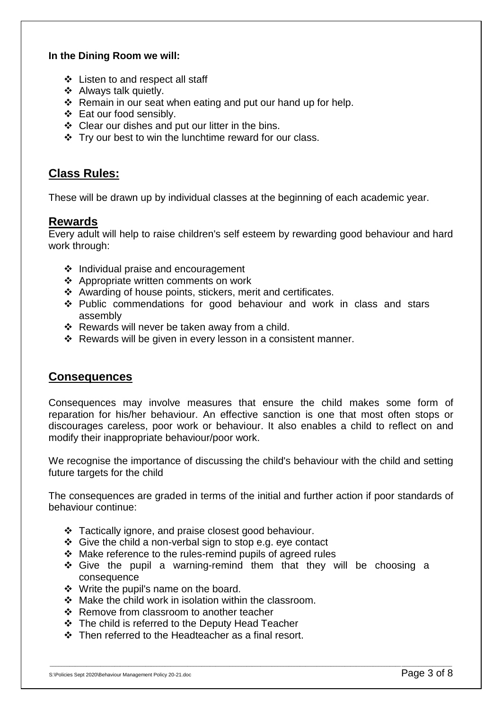#### **In the Dining Room we will:**

- Listen to and respect all staff
- ❖ Always talk quietly.
- $\div$  Remain in our seat when eating and put our hand up for help.
- ❖ Eat our food sensibly.
- Clear our dishes and put our litter in the bins.
- Try our best to win the lunchtime reward for our class.

#### **Class Rules:**

These will be drawn up by individual classes at the beginning of each academic year.

#### **Rewards**

Every adult will help to raise children's self esteem by rewarding good behaviour and hard work through:

- $\div$  Individual praise and encouragement
- ❖ Appropriate written comments on work
- Awarding of house points, stickers, merit and certificates.
- \* Public commendations for good behaviour and work in class and stars assembly
- Rewards will never be taken away from a child.
- $\cdot$  Rewards will be given in every lesson in a consistent manner.

#### **Consequences**

Consequences may involve measures that ensure the child makes some form of reparation for his/her behaviour. An effective sanction is one that most often stops or discourages careless, poor work or behaviour. It also enables a child to reflect on and modify their inappropriate behaviour/poor work.

We recognise the importance of discussing the child's behaviour with the child and setting future targets for the child

The consequences are graded in terms of the initial and further action if poor standards of behaviour continue:

- \* Tactically ignore, and praise closest good behaviour.
- Give the child a non-verbal sign to stop e.g. eye contact
- Make reference to the rules-remind pupils of agreed rules
- Give the pupil a warning-remind them that they will be choosing a consequence

- Write the pupil's name on the board.
- $\div$  Make the child work in isolation within the classroom.
- ❖ Remove from classroom to another teacher
- The child is referred to the Deputy Head Teacher
- Then referred to the Headteacher as a final resort.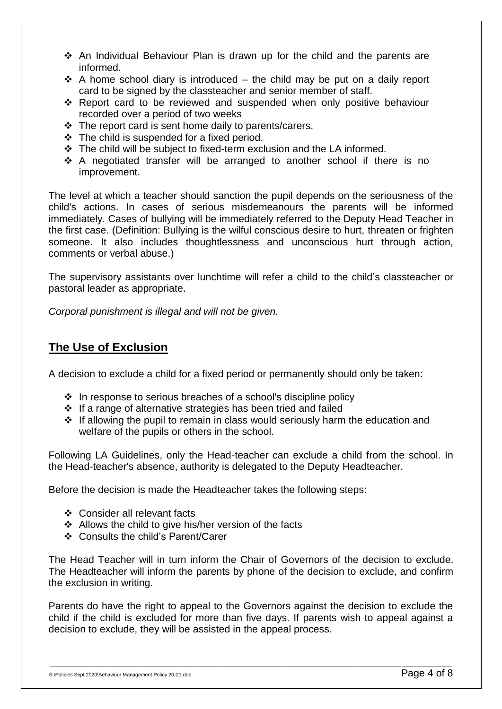- An Individual Behaviour Plan is drawn up for the child and the parents are informed.
- $\cdot$  A home school diary is introduced the child may be put on a daily report card to be signed by the classteacher and senior member of staff.
- \* Report card to be reviewed and suspended when only positive behaviour recorded over a period of two weeks
- $\div$  The report card is sent home daily to parents/carers.
- $\div$  The child is suspended for a fixed period.
- $\div$  The child will be subject to fixed-term exclusion and the LA informed.
- \* A negotiated transfer will be arranged to another school if there is no improvement.

The level at which a teacher should sanction the pupil depends on the seriousness of the child's actions. In cases of serious misdemeanours the parents will be informed immediately. Cases of bullying will be immediately referred to the Deputy Head Teacher in the first case. (Definition: Bullying is the wilful conscious desire to hurt, threaten or frighten someone. It also includes thoughtlessness and unconscious hurt through action, comments or verbal abuse.)

The supervisory assistants over lunchtime will refer a child to the child's classteacher or pastoral leader as appropriate.

*Corporal punishment is illegal and will not be given.*

#### **The Use of Exclusion**

A decision to exclude a child for a fixed period or permanently should only be taken:

- $\cdot$  In response to serious breaches of a school's discipline policy
- $\cdot$  If a range of alternative strategies has been tried and failed
- $\cdot \cdot$  If allowing the pupil to remain in class would seriously harm the education and welfare of the pupils or others in the school.

Following LA Guidelines, only the Head-teacher can exclude a child from the school. In the Head-teacher's absence, authority is delegated to the Deputy Headteacher.

Before the decision is made the Headteacher takes the following steps:

- ❖ Consider all relevant facts
- Allows the child to give his/her version of the facts
- Consults the child's Parent/Carer

The Head Teacher will in turn inform the Chair of Governors of the decision to exclude. The Headteacher will inform the parents by phone of the decision to exclude, and confirm the exclusion in writing.

Parents do have the right to appeal to the Governors against the decision to exclude the child if the child is excluded for more than five days. If parents wish to appeal against a decision to exclude, they will be assisted in the appeal process.

\_\_\_\_\_\_\_\_\_\_\_\_\_\_\_\_\_\_\_\_\_\_\_\_\_\_\_\_\_\_\_\_\_\_\_\_\_\_\_\_\_\_\_\_\_\_\_\_\_\_\_\_\_\_\_\_\_\_\_\_\_\_\_\_\_\_\_\_\_\_\_\_\_\_\_\_\_\_\_\_\_\_\_\_\_\_\_\_\_\_\_\_\_\_\_\_\_\_\_\_\_\_\_\_\_\_\_\_\_\_\_\_\_\_\_\_\_\_\_\_\_\_\_\_\_\_\_\_\_\_\_\_\_\_\_\_\_\_\_\_\_\_\_

S:\Policies Sept 2020\Behaviour Management Policy 20-21.doc  $P$  and  $\mathcal{B}$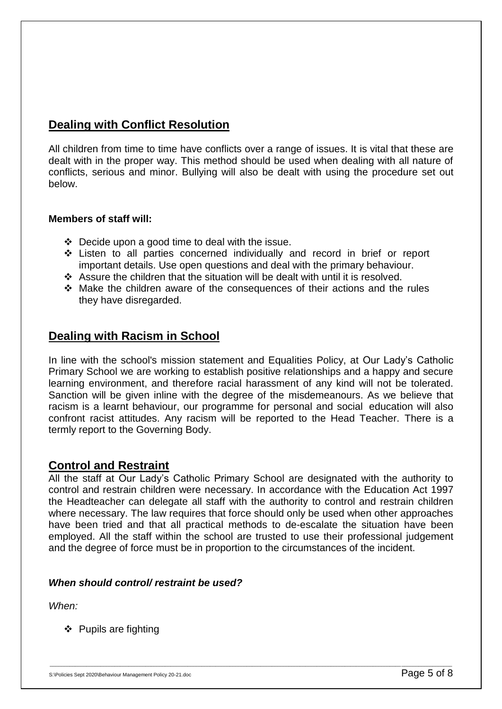#### **Dealing with Conflict Resolution**

All children from time to time have conflicts over a range of issues. It is vital that these are dealt with in the proper way. This method should be used when dealing with all nature of conflicts, serious and minor. Bullying will also be dealt with using the procedure set out below.

#### **Members of staff will:**

- $\div$  Decide upon a good time to deal with the issue.
- Listen to all parties concerned individually and record in brief or report important details. Use open questions and deal with the primary behaviour.
- Assure the children that the situation will be dealt with until it is resolved.
- $\div$  Make the children aware of the consequences of their actions and the rules they have disregarded.

#### **Dealing with Racism in School**

In line with the school's mission statement and Equalities Policy, at Our Lady's Catholic Primary School we are working to establish positive relationships and a happy and secure learning environment, and therefore racial harassment of any kind will not be tolerated. Sanction will be given inline with the degree of the misdemeanours. As we believe that racism is a learnt behaviour, our programme for personal and social education will also confront racist attitudes. Any racism will be reported to the Head Teacher. There is a termly report to the Governing Body.

#### **Control and Restraint**

All the staff at Our Lady's Catholic Primary School are designated with the authority to control and restrain children were necessary. In accordance with the Education Act 1997 the Headteacher can delegate all staff with the authority to control and restrain children where necessary. The law requires that force should only be used when other approaches have been tried and that all practical methods to de-escalate the situation have been employed. All the staff within the school are trusted to use their professional judgement and the degree of force must be in proportion to the circumstances of the incident.

\_\_\_\_\_\_\_\_\_\_\_\_\_\_\_\_\_\_\_\_\_\_\_\_\_\_\_\_\_\_\_\_\_\_\_\_\_\_\_\_\_\_\_\_\_\_\_\_\_\_\_\_\_\_\_\_\_\_\_\_\_\_\_\_\_\_\_\_\_\_\_\_\_\_\_\_\_\_\_\_\_\_\_\_\_\_\_\_\_\_\_\_\_\_\_\_\_\_\_\_\_\_\_\_\_\_\_\_\_\_\_\_\_\_\_\_\_\_\_\_\_\_\_\_\_\_\_\_\_\_\_\_\_\_\_\_\_\_\_\_\_\_\_

#### *When should control/ restraint be used?*

*When:*

❖ Pupils are fighting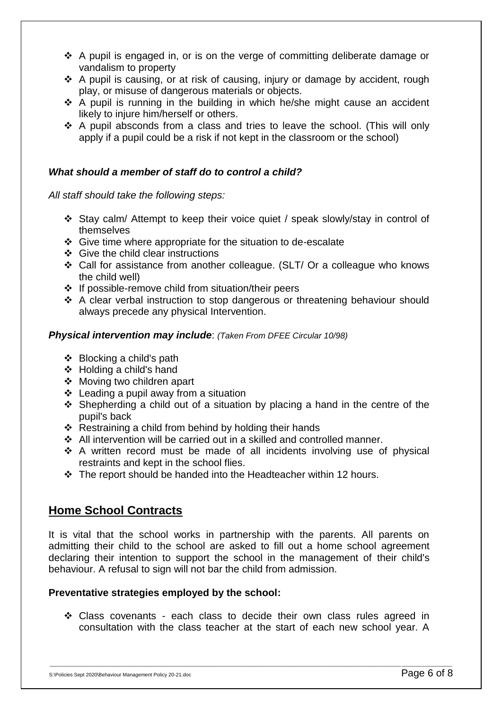- A pupil is engaged in, or is on the verge of committing deliberate damage or vandalism to property
- \* A pupil is causing, or at risk of causing, injury or damage by accident, rough play, or misuse of dangerous materials or objects.
- $\div$  A pupil is running in the building in which he/she might cause an accident likely to injure him/herself or others.
- $\div$  A pupil absconds from a class and tries to leave the school. (This will only apply if a pupil could be a risk if not kept in the classroom or the school)

#### *What should a member of staff do to control a child?*

*All staff should take the following steps:*

- Stay calm/ Attempt to keep their voice quiet / speak slowly/stay in control of themselves
- $\div$  Give time where appropriate for the situation to de-escalate
- Give the child clear instructions
- Call for assistance from another colleague. (SLT/ Or a colleague who knows the child well)
- $\div$  If possible-remove child from situation/their peers
- A clear verbal instruction to stop dangerous or threatening behaviour should always precede any physical Intervention.

#### *Physical intervention may include*: *(Taken From DFEE Circular 10/98)*

- $\div$  Blocking a child's path
- Holding a child's hand
- Moving two children apart
- $\div$  Leading a pupil away from a situation
- $\div$  Shepherding a child out of a situation by placing a hand in the centre of the pupil's back
- $\div$  Restraining a child from behind by holding their hands
- $\div$  All intervention will be carried out in a skilled and controlled manner.
- $\div$  A written record must be made of all incidents involving use of physical restraints and kept in the school flies.
- The report should be handed into the Headteacher within 12 hours.

#### **Home School Contracts**

It is vital that the school works in partnership with the parents. All parents on admitting their child to the school are asked to fill out a home school agreement declaring their intention to support the school in the management of their child's behaviour. A refusal to sign will not bar the child from admission.

#### **Preventative strategies employed by the school:**

 Class covenants - each class to decide their own class rules agreed in consultation with the class teacher at the start of each new school year. A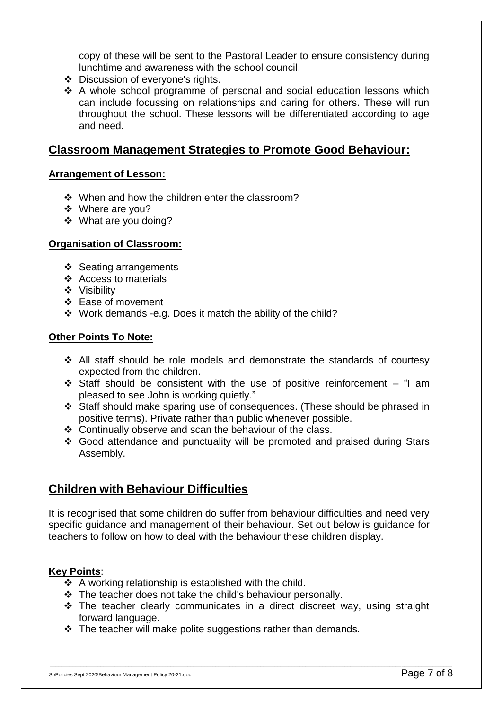copy of these will be sent to the Pastoral Leader to ensure consistency during lunchtime and awareness with the school council.

- Discussion of everyone's rights.
- $\div$  A whole school programme of personal and social education lessons which can include focussing on relationships and caring for others. These will run throughout the school. These lessons will be differentiated according to age and need.

#### **Classroom Management Strategies to Promote Good Behaviour:**

#### **Arrangement of Lesson:**

- When and how the children enter the classroom?
- Where are you?
- What are you doing?

#### **Organisation of Classroom:**

- ❖ Seating arrangements
- Access to materials
- Visibility
- Ease of movement
- Work demands -e.g. Does it match the ability of the child?

#### **Other Points To Note:**

- All staff should be role models and demonstrate the standards of courtesy expected from the children.
- Staff should be consistent with the use of positive reinforcement "I am pleased to see John is working quietly."
- Staff should make sparing use of consequences. (These should be phrased in positive terms). Private rather than public whenever possible.
- Continually observe and scan the behaviour of the class.
- Good attendance and punctuality will be promoted and praised during Stars Assembly.

#### **Children with Behaviour Difficulties**

It is recognised that some children do suffer from behaviour difficulties and need very specific guidance and management of their behaviour. Set out below is guidance for teachers to follow on how to deal with the behaviour these children display.

#### **Key Points**:

- $\div$  A working relationship is established with the child.
- $\div$  The teacher does not take the child's behaviour personally.
- $\cdot$  The teacher clearly communicates in a direct discreet way, using straight forward language.

\_\_\_\_\_\_\_\_\_\_\_\_\_\_\_\_\_\_\_\_\_\_\_\_\_\_\_\_\_\_\_\_\_\_\_\_\_\_\_\_\_\_\_\_\_\_\_\_\_\_\_\_\_\_\_\_\_\_\_\_\_\_\_\_\_\_\_\_\_\_\_\_\_\_\_\_\_\_\_\_\_\_\_\_\_\_\_\_\_\_\_\_\_\_\_\_\_\_\_\_\_\_\_\_\_\_\_\_\_\_\_\_\_\_\_\_\_\_\_\_\_\_\_\_\_\_\_\_\_\_\_\_\_\_\_\_\_\_\_\_\_\_\_

 $\div$  The teacher will make polite suggestions rather than demands.